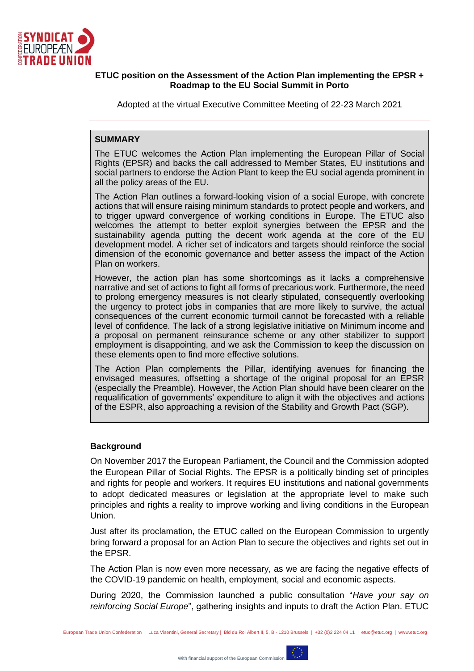

### **ETUC position on the Assessment of the Action Plan implementing the EPSR + Roadmap to the EU Social Summit in Porto**

Adopted at the virtual Executive Committee Meeting of 22-23 March 2021

### **SUMMARY**

The ETUC welcomes the Action Plan implementing the European Pillar of Social Rights (EPSR) and backs the call addressed to Member States, EU institutions and social partners to endorse the Action Plant to keep the EU social agenda prominent in all the policy areas of the EU.

The Action Plan outlines a forward-looking vision of a social Europe, with concrete actions that will ensure raising minimum standards to protect people and workers, and to trigger upward convergence of working conditions in Europe. The ETUC also welcomes the attempt to better exploit synergies between the EPSR and the sustainability agenda putting the decent work agenda at the core of the EU development model. A richer set of indicators and targets should reinforce the social dimension of the economic governance and better assess the impact of the Action Plan on workers.

However, the action plan has some shortcomings as it lacks a comprehensive narrative and set of actions to fight all forms of precarious work. Furthermore, the need to prolong emergency measures is not clearly stipulated, consequently overlooking the urgency to protect jobs in companies that are more likely to survive, the actual consequences of the current economic turmoil cannot be forecasted with a reliable level of confidence. The lack of a strong legislative initiative on Minimum income and a proposal on permanent reinsurance scheme or any other stabilizer to support employment is disappointing, and we ask the Commission to keep the discussion on these elements open to find more effective solutions.

The Action Plan complements the Pillar, identifying avenues for financing the envisaged measures, offsetting a shortage of the original proposal for an EPSR (especially the Preamble). However, the Action Plan should have been clearer on the requalification of governments' expenditure to align it with the objectives and actions of the ESPR, also approaching a revision of the Stability and Growth Pact (SGP).

## **Background**

On November 2017 the European Parliament, the Council and the Commission adopted the European Pillar of Social Rights. The EPSR is a politically binding set of principles and rights for people and workers. It requires EU institutions and national governments to adopt dedicated measures or legislation at the appropriate level to make such principles and rights a reality to improve working and living conditions in the European Union.

Just after its proclamation, the ETUC called on the European Commission to urgently bring forward a proposal for an Action Plan to secure the objectives and rights set out in the EPSR.

The Action Plan is now even more necessary, as we are facing the negative effects of the COVID-19 pandemic on health, employment, social and economic aspects.

During 2020, the Commission launched a public consultation "*Have your say on reinforcing Social Europe*", gathering insights and inputs to draft the Action Plan. ETUC

European Trade Union Confederation | Luca Visentini, General Secretary | Bld du Roi Albert II, 5, B - 1210 Brussels | +32 (0)2 224 04 11 | etuc@etuc.org | www.etuc.org

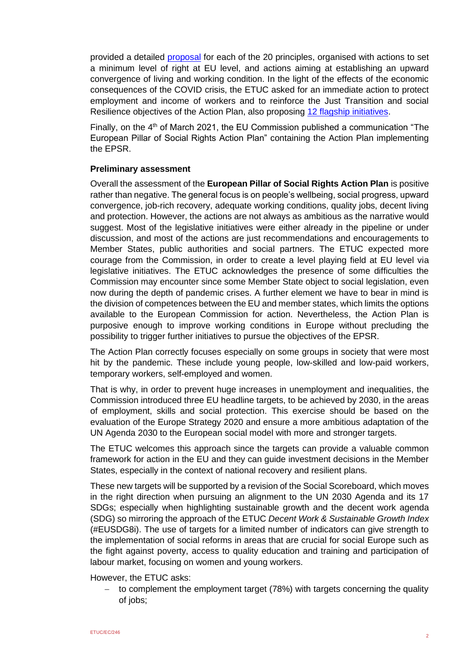provided a detailed [proposal](http://est1.etuc.org/wp-content/uploads/2021/02/ETUC-input-for-the-Action-Plan-implementing-the-European-Pillar-of-Social-Rights-10_2020.pdf) for each of the 20 principles, organised with actions to set a minimum level of right at EU level, and actions aiming at establishing an upward convergence of living and working condition. In the light of the effects of the economic consequences of the COVID crisis, the ETUC asked for an immediate action to protect employment and income of workers and to reinforce the Just Transition and social Resilience objectives of the Action Plan, also proposing [12 flagship initiatives.](https://est1.etuc.org/wp-content/uploads/2021/02/ETUC-priorities-for-the-Action-Plan-implementing-the-European-Pillar-of-Social-Rights_final.pdf)

Finally, on the  $4<sup>th</sup>$  of March 2021, the EU Commission published a communication "The European Pillar of Social Rights Action Plan" containing the Action Plan implementing the EPSR.

#### **Preliminary assessment**

Overall the assessment of the **European Pillar of Social Rights Action Plan** is positive rather than negative. The general focus is on people's wellbeing, social progress, upward convergence, job-rich recovery, adequate working conditions, quality jobs, decent living and protection. However, the actions are not always as ambitious as the narrative would suggest. Most of the legislative initiatives were either already in the pipeline or under discussion, and most of the actions are just recommendations and encouragements to Member States, public authorities and social partners. The ETUC expected more courage from the Commission, in order to create a level playing field at EU level via legislative initiatives. The ETUC acknowledges the presence of some difficulties the Commission may encounter since some Member State object to social legislation, even now during the depth of pandemic crises. A further element we have to bear in mind is the division of competences between the EU and member states, which limits the options available to the European Commission for action. Nevertheless, the Action Plan is purposive enough to improve working conditions in Europe without precluding the possibility to trigger further initiatives to pursue the objectives of the EPSR.

The Action Plan correctly focuses especially on some groups in society that were most hit by the pandemic. These include young people, low-skilled and low-paid workers, temporary workers, self-employed and women.

That is why, in order to prevent huge increases in unemployment and inequalities, the Commission introduced three EU headline targets, to be achieved by 2030, in the areas of employment, skills and social protection. This exercise should be based on the evaluation of the Europe Strategy 2020 and ensure a more ambitious adaptation of the UN Agenda 2030 to the European social model with more and stronger targets.

The ETUC welcomes this approach since the targets can provide a valuable common framework for action in the EU and they can guide investment decisions in the Member States, especially in the context of national recovery and resilient plans.

These new targets will be supported by a revision of the Social Scoreboard, which moves in the right direction when pursuing an alignment to the UN 2030 Agenda and its 17 SDGs; especially when highlighting sustainable growth and the decent work agenda (SDG) so mirroring the approach of the ETUC *Decent Work & Sustainable Growth Index* (#EUSDG8i). The use of targets for a limited number of indicators can give strength to the implementation of social reforms in areas that are crucial for social Europe such as the fight against poverty, access to quality education and training and participation of labour market, focusing on women and young workers.

However, the ETUC asks:

to complement the employment target (78%) with targets concerning the quality of jobs;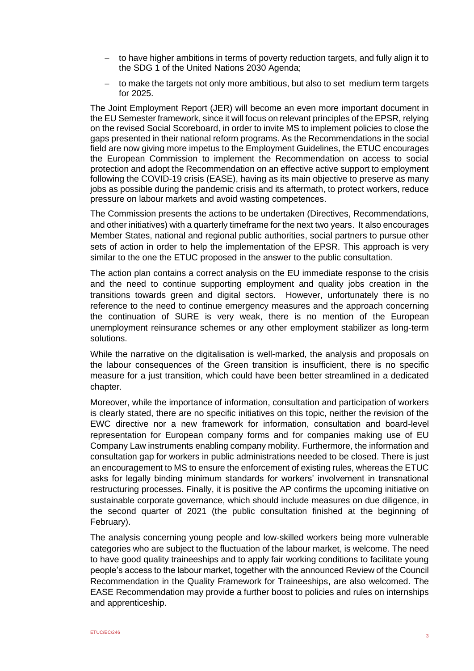- to have higher ambitions in terms of poverty reduction targets, and fully align it to the SDG 1 of the United Nations 2030 Agenda;
- − to make the targets not only more ambitious, but also to set medium term targets for 2025.

The Joint Employment Report (JER) will become an even more important document in the EU Semester framework, since it will focus on relevant principles of the EPSR, relying on the revised Social Scoreboard, in order to invite MS to implement policies to close the gaps presented in their national reform programs. As the Recommendations in the social field are now giving more impetus to the Employment Guidelines, the ETUC encourages the European Commission to implement the Recommendation on access to social protection and adopt the Recommendation on an effective active support to employment following the COVID-19 crisis (EASE), having as its main objective to preserve as many jobs as possible during the pandemic crisis and its aftermath, to protect workers, reduce pressure on labour markets and avoid wasting competences.

The Commission presents the actions to be undertaken (Directives, Recommendations, and other initiatives) with a quarterly timeframe for the next two years. It also encourages Member States, national and regional public authorities, social partners to pursue other sets of action in order to help the implementation of the EPSR. This approach is very similar to the one the ETUC proposed in the answer to the public consultation.

The action plan contains a correct analysis on the EU immediate response to the crisis and the need to continue supporting employment and quality jobs creation in the transitions towards green and digital sectors. However, unfortunately there is no reference to the need to continue emergency measures and the approach concerning the continuation of SURE is very weak, there is no mention of the European unemployment reinsurance schemes or any other employment stabilizer as long-term solutions.

While the narrative on the digitalisation is well-marked, the analysis and proposals on the labour consequences of the Green transition is insufficient, there is no specific measure for a just transition, which could have been better streamlined in a dedicated chapter.

Moreover, while the importance of information, consultation and participation of workers is clearly stated, there are no specific initiatives on this topic, neither the revision of the EWC directive nor a new framework for information, consultation and board-level representation for European company forms and for companies making use of EU Company Law instruments enabling company mobility. Furthermore, the information and consultation gap for workers in public administrations needed to be closed. There is just an encouragement to MS to ensure the enforcement of existing rules, whereas the ETUC asks for legally binding minimum standards for workers' involvement in transnational restructuring processes. Finally, it is positive the AP confirms the upcoming initiative on sustainable corporate governance, which should include measures on due diligence, in the second quarter of 2021 (the public consultation finished at the beginning of February).

The analysis concerning young people and low-skilled workers being more vulnerable categories who are subject to the fluctuation of the labour market, is welcome. The need to have good quality traineeships and to apply fair working conditions to facilitate young people's access to the labour market, together with the announced Review of the Council Recommendation in the Quality Framework for Traineeships, are also welcomed. The EASE Recommendation may provide a further boost to policies and rules on internships and apprenticeship.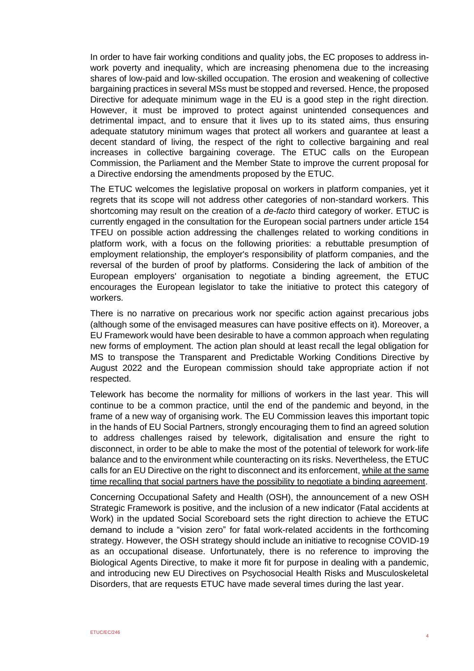In order to have fair working conditions and quality jobs, the EC proposes to address inwork poverty and inequality, which are increasing phenomena due to the increasing shares of low-paid and low-skilled occupation. The erosion and weakening of collective bargaining practices in several MSs must be stopped and reversed. Hence, the proposed Directive for adequate minimum wage in the EU is a good step in the right direction. However, it must be improved to protect against unintended consequences and detrimental impact, and to ensure that it lives up to its stated aims, thus ensuring adequate statutory minimum wages that protect all workers and guarantee at least a decent standard of living, the respect of the right to collective bargaining and real increases in collective bargaining coverage. The ETUC calls on the European Commission, the Parliament and the Member State to improve the current proposal for a Directive endorsing the amendments proposed by the ETUC.

The ETUC welcomes the legislative proposal on workers in platform companies, yet it regrets that its scope will not address other categories of non-standard workers. This shortcoming may result on the creation of a *de-facto* third category of worker. ETUC is currently engaged in the consultation for the European social partners under article 154 TFEU on possible action addressing the challenges related to working conditions in platform work, with a focus on the following priorities: a rebuttable presumption of employment relationship, the employer's responsibility of platform companies, and the reversal of the burden of proof by platforms. Considering the lack of ambition of the European employers' organisation to negotiate a binding agreement, the ETUC encourages the European legislator to take the initiative to protect this category of workers.

There is no narrative on precarious work nor specific action against precarious jobs (although some of the envisaged measures can have positive effects on it). Moreover, a EU Framework would have been desirable to have a common approach when regulating new forms of employment. The action plan should at least recall the legal obligation for MS to transpose the Transparent and Predictable Working Conditions Directive by August 2022 and the European commission should take appropriate action if not respected.

Telework has become the normality for millions of workers in the last year. This will continue to be a common practice, until the end of the pandemic and beyond, in the frame of a new way of organising work. The EU Commission leaves this important topic in the hands of EU Social Partners, strongly encouraging them to find an agreed solution to address challenges raised by telework, digitalisation and ensure the right to disconnect, in order to be able to make the most of the potential of telework for work-life balance and to the environment while counteracting on its risks. Nevertheless, the ETUC calls for an EU Directive on the right to disconnect and its enforcement, while at the same time recalling that social partners have the possibility to negotiate a binding agreement.

Concerning Occupational Safety and Health (OSH), the announcement of a new OSH Strategic Framework is positive, and the inclusion of a new indicator (Fatal accidents at Work) in the updated Social Scoreboard sets the right direction to achieve the ETUC demand to include a "vision zero" for fatal work-related accidents in the forthcoming strategy. However, the OSH strategy should include an initiative to recognise COVID-19 as an occupational disease. Unfortunately, there is no reference to improving the Biological Agents Directive, to make it more fit for purpose in dealing with a pandemic, and introducing new EU Directives on Psychosocial Health Risks and Musculoskeletal Disorders, that are requests ETUC have made several times during the last year.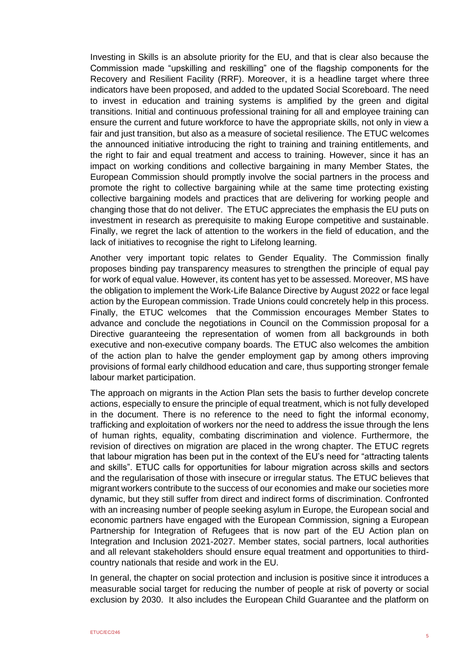Investing in Skills is an absolute priority for the EU, and that is clear also because the Commission made "upskilling and reskilling" one of the flagship components for the Recovery and Resilient Facility (RRF). Moreover, it is a headline target where three indicators have been proposed, and added to the updated Social Scoreboard. The need to invest in education and training systems is amplified by the green and digital transitions. Initial and continuous professional training for all and employee training can ensure the current and future workforce to have the appropriate skills, not only in view a fair and just transition, but also as a measure of societal resilience. The ETUC welcomes the announced initiative introducing the right to training and training entitlements, and the right to fair and equal treatment and access to training. However, since it has an impact on working conditions and collective bargaining in many Member States, the European Commission should promptly involve the social partners in the process and promote the right to collective bargaining while at the same time protecting existing collective bargaining models and practices that are delivering for working people and changing those that do not deliver. The ETUC appreciates the emphasis the EU puts on investment in research as prerequisite to making Europe competitive and sustainable. Finally, we regret the lack of attention to the workers in the field of education, and the lack of initiatives to recognise the right to Lifelong learning.

Another very important topic relates to Gender Equality. The Commission finally proposes binding pay transparency measures to strengthen the principle of equal pay for work of equal value. However, its content has yet to be assessed. Moreover, MS have the obligation to implement the Work-Life Balance Directive by August 2022 or face legal action by the European commission. Trade Unions could concretely help in this process. Finally, the ETUC welcomes that the Commission encourages Member States to advance and conclude the negotiations in Council on the Commission proposal for a Directive guaranteeing the representation of women from all backgrounds in both executive and non-executive company boards. The ETUC also welcomes the ambition of the action plan to halve the gender employment gap by among others improving provisions of formal early childhood education and care, thus supporting stronger female labour market participation.

The approach on migrants in the Action Plan sets the basis to further develop concrete actions, especially to ensure the principle of equal treatment, which is not fully developed in the document. There is no reference to the need to fight the informal economy, trafficking and exploitation of workers nor the need to address the issue through the lens of human rights, equality, combating discrimination and violence. Furthermore, the revision of directives on migration are placed in the wrong chapter. The ETUC regrets that labour migration has been put in the context of the EU's need for "attracting talents and skills". ETUC calls for opportunities for labour migration across skills and sectors and the regularisation of those with insecure or irregular status. The ETUC believes that migrant workers contribute to the success of our economies and make our societies more dynamic, but they still suffer from direct and indirect forms of discrimination. Confronted with an increasing number of people seeking asylum in Europe, the European social and economic partners have engaged with the European Commission, signing a European Partnership for Integration of Refugees that is now part of the EU Action plan on Integration and Inclusion 2021-2027. Member states, social partners, local authorities and all relevant stakeholders should ensure equal treatment and opportunities to thirdcountry nationals that reside and work in the EU.

In general, the chapter on social protection and inclusion is positive since it introduces a measurable social target for reducing the number of people at risk of poverty or social exclusion by 2030. It also includes the European Child Guarantee and the platform on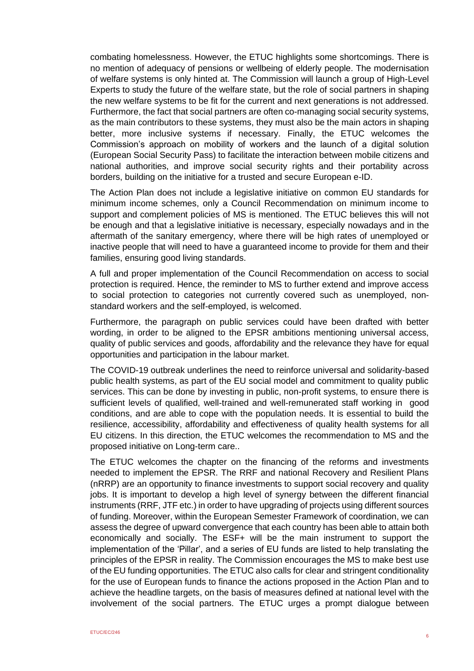combating homelessness. However, the ETUC highlights some shortcomings. There is no mention of adequacy of pensions or wellbeing of elderly people. The modernisation of welfare systems is only hinted at. The Commission will launch a group of High-Level Experts to study the future of the welfare state, but the role of social partners in shaping the new welfare systems to be fit for the current and next generations is not addressed. Furthermore, the fact that social partners are often co-managing social security systems, as the main contributors to these systems, they must also be the main actors in shaping better, more inclusive systems if necessary. Finally, the ETUC welcomes the Commission's approach on mobility of workers and the launch of a digital solution (European Social Security Pass) to facilitate the interaction between mobile citizens and national authorities, and improve social security rights and their portability across borders, building on the initiative for a trusted and secure European e-ID.

The Action Plan does not include a legislative initiative on common EU standards for minimum income schemes, only a Council Recommendation on minimum income to support and complement policies of MS is mentioned. The ETUC believes this will not be enough and that a legislative initiative is necessary, especially nowadays and in the aftermath of the sanitary emergency, where there will be high rates of unemployed or inactive people that will need to have a guaranteed income to provide for them and their families, ensuring good living standards.

A full and proper implementation of the Council Recommendation on access to social protection is required. Hence, the reminder to MS to further extend and improve access to social protection to categories not currently covered such as unemployed, nonstandard workers and the self-employed, is welcomed.

Furthermore, the paragraph on public services could have been drafted with better wording, in order to be aligned to the EPSR ambitions mentioning universal access, quality of public services and goods, affordability and the relevance they have for equal opportunities and participation in the labour market.

The COVID-19 outbreak underlines the need to reinforce universal and solidarity-based public health systems, as part of the EU social model and commitment to quality public services. This can be done by investing in public, non-profit systems, to ensure there is sufficient levels of qualified, well-trained and well-remunerated staff working in good conditions, and are able to cope with the population needs. It is essential to build the resilience, accessibility, affordability and effectiveness of quality health systems for all EU citizens. In this direction, the ETUC welcomes the recommendation to MS and the proposed initiative on Long-term care..

The ETUC welcomes the chapter on the financing of the reforms and investments needed to implement the EPSR. The RRF and national Recovery and Resilient Plans (nRRP) are an opportunity to finance investments to support social recovery and quality jobs. It is important to develop a high level of synergy between the different financial instruments (RRF, JTF etc.) in order to have upgrading of projects using different sources of funding. Moreover, within the European Semester Framework of coordination, we can assess the degree of upward convergence that each country has been able to attain both economically and socially. The ESF+ will be the main instrument to support the implementation of the 'Pillar', and a series of EU funds are listed to help translating the principles of the EPSR in reality. The Commission encourages the MS to make best use of the EU funding opportunities. The ETUC also calls for clear and stringent conditionality for the use of European funds to finance the actions proposed in the Action Plan and to achieve the headline targets, on the basis of measures defined at national level with the involvement of the social partners. The ETUC urges a prompt dialogue between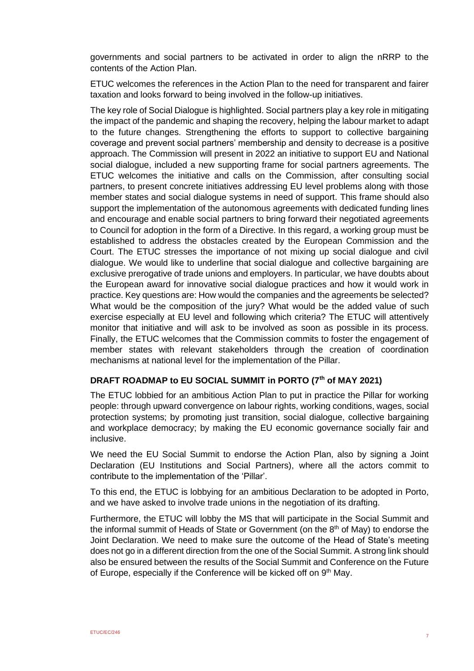governments and social partners to be activated in order to align the nRRP to the contents of the Action Plan.

ETUC welcomes the references in the Action Plan to the need for transparent and fairer taxation and looks forward to being involved in the follow-up initiatives.

The key role of Social Dialogue is highlighted. Social partners play a key role in mitigating the impact of the pandemic and shaping the recovery, helping the labour market to adapt to the future changes. Strengthening the efforts to support to collective bargaining coverage and prevent social partners' membership and density to decrease is a positive approach. The Commission will present in 2022 an initiative to support EU and National social dialogue, included a new supporting frame for social partners agreements. The ETUC welcomes the initiative and calls on the Commission, after consulting social partners, to present concrete initiatives addressing EU level problems along with those member states and social dialogue systems in need of support. This frame should also support the implementation of the autonomous agreements with dedicated funding lines and encourage and enable social partners to bring forward their negotiated agreements to Council for adoption in the form of a Directive. In this regard, a working group must be established to address the obstacles created by the European Commission and the Court. The ETUC stresses the importance of not mixing up social dialogue and civil dialogue. We would like to underline that social dialogue and collective bargaining are exclusive prerogative of trade unions and employers. In particular, we have doubts about the European award for innovative social dialogue practices and how it would work in practice. Key questions are: How would the companies and the agreements be selected? What would be the composition of the jury? What would be the added value of such exercise especially at EU level and following which criteria? The ETUC will attentively monitor that initiative and will ask to be involved as soon as possible in its process. Finally, the ETUC welcomes that the Commission commits to foster the engagement of member states with relevant stakeholders through the creation of coordination mechanisms at national level for the implementation of the Pillar.

# **DRAFT ROADMAP to EU SOCIAL SUMMIT in PORTO (7th of MAY 2021)**

The ETUC lobbied for an ambitious Action Plan to put in practice the Pillar for working people: through upward convergence on labour rights, working conditions, wages, social protection systems; by promoting just transition, social dialogue, collective bargaining and workplace democracy; by making the EU economic governance socially fair and inclusive.

We need the EU Social Summit to endorse the Action Plan, also by signing a Joint Declaration (EU Institutions and Social Partners), where all the actors commit to contribute to the implementation of the 'Pillar'.

To this end, the ETUC is lobbying for an ambitious Declaration to be adopted in Porto, and we have asked to involve trade unions in the negotiation of its drafting.

Furthermore, the ETUC will lobby the MS that will participate in the Social Summit and the informal summit of Heads of State or Government (on the  $8<sup>th</sup>$  of May) to endorse the Joint Declaration. We need to make sure the outcome of the Head of State's meeting does not go in a different direction from the one of the Social Summit. A strong link should also be ensured between the results of the Social Summit and Conference on the Future of Europe, especially if the Conference will be kicked off on 9<sup>th</sup> May.